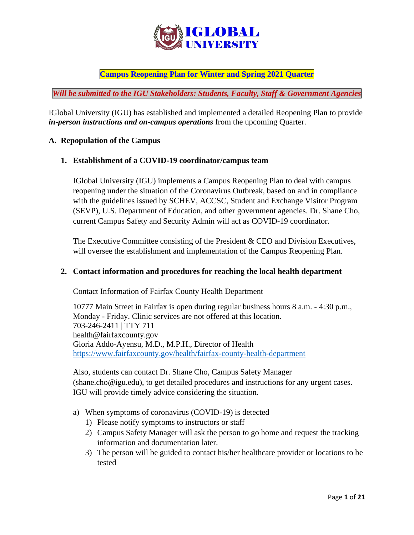

# **Campus Reopening Plan for Winter and Spring 2021 Quarter**

*Will be submitted to the IGU Stakeholders: Students, Faculty, Staff & Government Agencies*

IGlobal University (IGU) has established and implemented a detailed Reopening Plan to provide *in-person instructions and on-campus operations* from the upcoming Quarter.

#### **A. Repopulation of the Campus**

#### **1. Establishment of a COVID-19 coordinator/campus team**

IGlobal University (IGU) implements a Campus Reopening Plan to deal with campus reopening under the situation of the Coronavirus Outbreak, based on and in compliance with the guidelines issued by SCHEV, ACCSC, Student and Exchange Visitor Program (SEVP), U.S. Department of Education, and other government agencies. Dr. Shane Cho, current Campus Safety and Security Admin will act as COVID-19 coordinator.

The Executive Committee consisting of the President & CEO and Division Executives, will oversee the establishment and implementation of the Campus Reopening Plan.

#### **2. Contact information and procedures for reaching the local health department**

Contact Information of Fairfax County Health Department

10777 Main Street in Fairfax is open during regular business hours 8 a.m. - 4:30 p.m., Monday - Friday. Clinic services are not offered at this location. [703-246-2411](tel:703-246-2411) | TTY 711 [health@fairfaxcounty.gov](mailto:health@fairfaxcounty.gov) Gloria Addo-Ayensu, M.D., M.P.H., Director of Health <https://www.fairfaxcounty.gov/health/fairfax-county-health-department>

Also, students can contact Dr. Shane Cho, Campus Safety Manager (shane.cho@igu.edu), to get detailed procedures and instructions for any urgent cases. IGU will provide timely advice considering the situation.

- a) When symptoms of coronavirus (COVID-19) is detected
	- 1) Please notify symptoms to instructors or staff
	- 2) Campus Safety Manager will ask the person to go home and request the tracking information and documentation later.
	- 3) The person will be guided to contact his/her healthcare provider or locations to be tested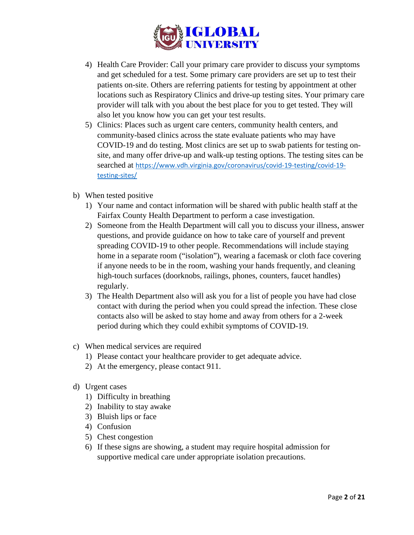

- 4) Health Care Provider: Call your primary care provider to discuss your symptoms and get scheduled for a test. Some primary care providers are set up to test their patients on-site. Others are referring patients for testing by appointment at other locations such as Respiratory Clinics and drive-up testing sites. Your primary care provider will talk with you about the best place for you to get tested. They will also let you know how you can get your test results.
- 5) Clinics: Places such as urgent care centers, community health centers, and community-based clinics across the state evaluate patients who may have COVID-19 and do testing. Most clinics are set up to swab patients for testing onsite, and many offer drive-up and walk-up testing options. The testing sites can be searched at [https://www.vdh.virginia.gov/coronavirus/covid-19-testing/covid-19](https://www.vdh.virginia.gov/coronavirus/covid-19-testing/covid-19-testing-sites/) [testing-sites/](https://www.vdh.virginia.gov/coronavirus/covid-19-testing/covid-19-testing-sites/)
- b) When tested positive
	- 1) Your name and contact information will be shared with public health staff at the Fairfax County Health Department to perform a case investigation.
	- 2) Someone from the Health Department will call you to discuss your illness, answer questions, and provide guidance on how to take care of yourself and prevent spreading COVID-19 to other people. Recommendations will include staying home in a separate room ("isolation"), wearing a facemask or cloth face covering if anyone needs to be in the room, washing your hands frequently, and cleaning high-touch surfaces (doorknobs, railings, phones, counters, faucet handles) regularly.
	- 3) The Health Department also will ask you for a list of people you have had close contact with during the period when you could spread the infection. These close contacts also will be asked to stay home and away from others for a 2-week period during which they could exhibit symptoms of COVID-19.
- c) When medical services are required
	- 1) Please contact your healthcare provider to get adequate advice.
	- 2) At the emergency, please contact 911.
- d) Urgent cases
	- 1) Difficulty in breathing
	- 2) Inability to stay awake
	- 3) Bluish lips or face
	- 4) Confusion
	- 5) Chest congestion
	- 6) If these signs are showing, a student may require hospital admission for supportive medical care under appropriate isolation precautions.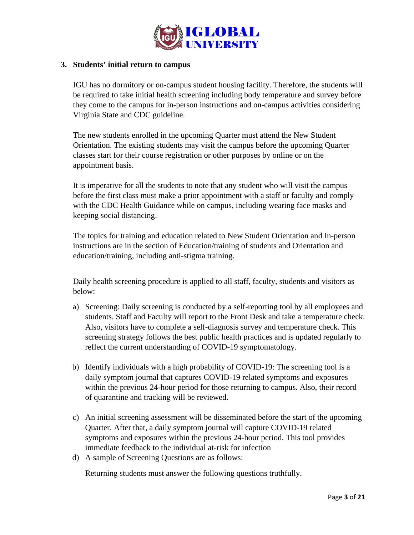

## **3. Students' initial return to campus**

IGU has no dormitory or on-campus student housing facility. Therefore, the students will be required to take initial health screening including body temperature and survey before they come to the campus for in-person instructions and on-campus activities considering Virginia State and CDC guideline.

The new students enrolled in the upcoming Quarter must attend the New Student Orientation. The existing students may visit the campus before the upcoming Quarter classes start for their course registration or other purposes by online or on the appointment basis.

It is imperative for all the students to note that any student who will visit the campus before the first class must make a prior appointment with a staff or faculty and comply with the CDC Health Guidance while on campus, including wearing face masks and keeping social distancing.

The topics for training and education related to New Student Orientation and In-person instructions are in the section of Education/training of students and Orientation and education/training, including anti-stigma training.

Daily health screening procedure is applied to all staff, faculty, students and visitors as below:

- a) Screening: Daily screening is conducted by a self-reporting tool by all employees and students. Staff and Faculty will report to the Front Desk and take a temperature check. Also, visitors have to complete a self-diagnosis survey and temperature check. This screening strategy follows the best public health practices and is updated regularly to reflect the current understanding of COVID-19 symptomatology.
- b) Identify individuals with a high probability of COVID-19: The screening tool is a daily symptom journal that captures COVID-19 related symptoms and exposures within the previous 24-hour period for those returning to campus. Also, their record of quarantine and tracking will be reviewed.
- c) An initial screening assessment will be disseminated before the start of the upcoming Quarter. After that, a daily symptom journal will capture COVID-19 related symptoms and exposures within the previous 24-hour period. This tool provides immediate feedback to the individual at-risk for infection
- d) A sample of Screening Questions are as follows:

Returning students must answer the following questions truthfully.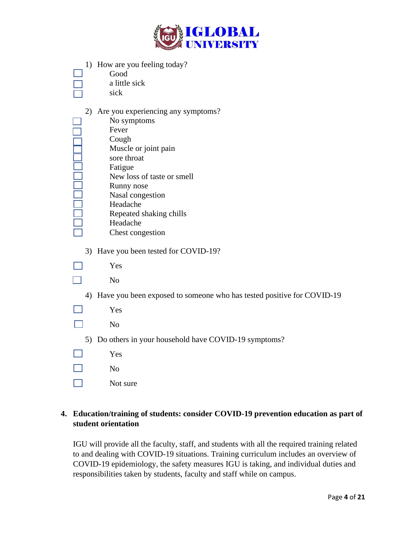

|  | 1) How are you feeling today? |
|--|-------------------------------|
|  | Good                          |

| Good          |  |
|---------------|--|
| a little sick |  |

2) Are you experiencing any symptoms?

| No symptoms                |
|----------------------------|
| Fever                      |
| Cough                      |
| Muscle or joint pain       |
| sore throat                |
| Fatigue                    |
| New loss of taste or smell |
| Runny nose                 |
| Nasal congestion           |
| Headache                   |
| Repeated shaking chills    |
| Headache                   |

- Headache Chest congestion
- 3) Have you been tested for COVID-19?
- Yes  $\mathsf{L}$

 $\Box$ 

 $\Box$ 

**FI** 

 $\Box$ 

- No
- 4) Have you been exposed to someone who has tested positive for COVID-19
- Yes
- No
- 5) Do others in your household have COVID-19 symptoms?

| Yes |
|-----|
| No  |

 $\Box$ Not sure

# **4. Education/training of students: consider COVID-19 prevention education as part of student orientation**

IGU will provide all the faculty, staff, and students with all the required training related to and dealing with COVID-19 situations. Training curriculum includes an overview of COVID-19 epidemiology, the safety measures IGU is taking, and individual duties and responsibilities taken by students, faculty and staff while on campus.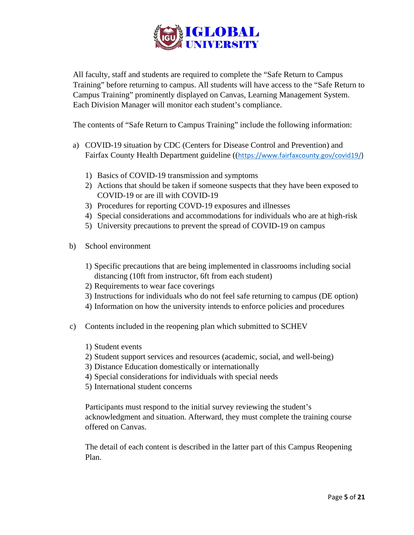

All faculty, staff and students are required to complete the "Safe Return to Campus Training" before returning to campus. All students will have access to the "Safe Return to Campus Training" prominently displayed on Canvas, Learning Management System. Each Division Manager will monitor each student's compliance.

The contents of "Safe Return to Campus Training" include the following information:

- a) COVID-19 situation by CDC (Centers for Disease Control and Prevention) and Fairfax County Health Department guideline (([https://www.fairfaxcounty.gov/covid19/\)](https://www.fairfaxcounty.gov/covid19/)
	- 1) Basics of COVID-19 transmission and symptoms
	- 2) Actions that should be taken if someone suspects that they have been exposed to COVID-19 or are ill with COVID-19
	- 3) Procedures for reporting COVD-19 exposures and illnesses
	- 4) Special considerations and accommodations for individuals who are at high-risk
	- 5) University precautions to prevent the spread of COVID-19 on campus
- b) School environment
	- 1) Specific precautions that are being implemented in classrooms including social distancing (10ft from instructor, 6ft from each student)
	- 2) Requirements to wear face coverings
	- 3) Instructions for individuals who do not feel safe returning to campus (DE option)
	- 4) Information on how the university intends to enforce policies and procedures
- c) Contents included in the reopening plan which submitted to SCHEV
	- 1) Student events
	- 2) Student support services and resources (academic, social, and well-being)
	- 3) Distance Education domestically or internationally
	- 4) Special considerations for individuals with special needs
	- 5) International student concerns

Participants must respond to the initial survey reviewing the student's acknowledgment and situation. Afterward, they must complete the training course offered on Canvas.

The detail of each content is described in the latter part of this Campus Reopening Plan.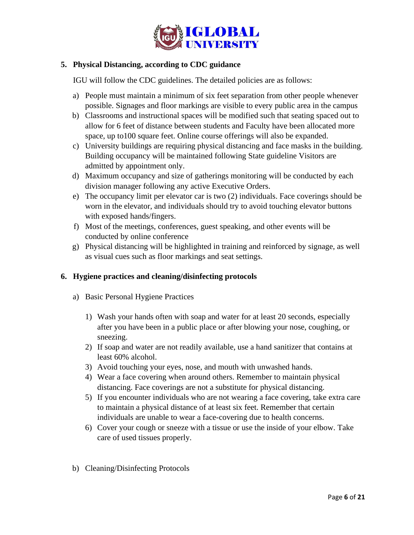

## **5. Physical Distancing, according to CDC guidance**

IGU will follow the CDC guidelines. The detailed policies are as follows:

- a) People must maintain a minimum of six feet separation from other people whenever possible. Signages and floor markings are visible to every public area in the campus
- b) Classrooms and instructional spaces will be modified such that seating spaced out to allow for 6 feet of distance between students and Faculty have been allocated more space, up to100 square feet. Online course offerings will also be expanded.
- c) University buildings are requiring physical distancing and face masks in the building. Building occupancy will be maintained following State guideline Visitors are admitted by appointment only.
- d) Maximum occupancy and size of gatherings monitoring will be conducted by each division manager following any active Executive Orders.
- e) The occupancy limit per elevator car is two (2) individuals. Face coverings should be worn in the elevator, and individuals should try to avoid touching elevator buttons with exposed hands/fingers.
- f) Most of the meetings, conferences, guest speaking, and other events will be conducted by online conference
- g) Physical distancing will be highlighted in training and reinforced by signage, as well as visual cues such as floor markings and seat settings.

### **6. Hygiene practices and cleaning/disinfecting protocols**

- a) Basic Personal Hygiene Practices
	- 1) Wash your hands often with soap and water for at least 20 seconds, especially after you have been in a public place or after blowing your nose, coughing, or sneezing.
	- 2) If soap and water are not readily available, use a hand sanitizer that contains at least 60% alcohol.
	- 3) Avoid touching your eyes, nose, and mouth with unwashed hands.
	- 4) Wear a face covering when around others. Remember to maintain physical distancing. Face coverings are not a substitute for physical distancing.
	- 5) If you encounter individuals who are not wearing a face covering, take extra care to maintain a physical distance of at least six feet. Remember that certain individuals are unable to wear a face-covering due to health concerns.
	- 6) Cover your cough or sneeze with a tissue or use the inside of your elbow. Take care of used tissues properly.
- b) Cleaning/Disinfecting Protocols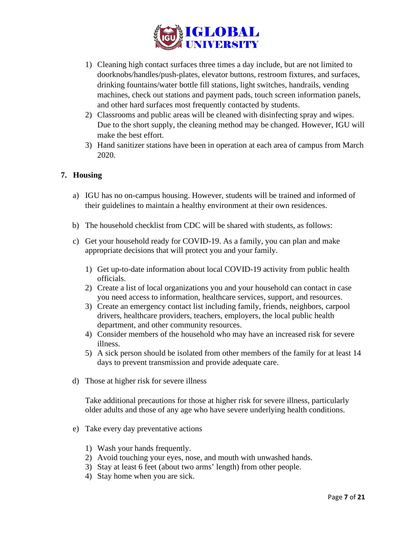

- 1) Cleaning high contact surfaces three times a day include, but are not limited to doorknobs/handles/push-plates, elevator buttons, restroom fixtures, and surfaces, drinking fountains/water bottle fill stations, light switches, handrails, vending machines, check out stations and payment pads, touch screen information panels, and other hard surfaces most frequently contacted by students.
- 2) Classrooms and public areas will be cleaned with disinfecting spray and wipes. Due to the short supply, the cleaning method may be changed. However, IGU will make the best effort.
- 3) Hand sanitizer stations have been in operation at each area of campus from March 2020.

## **7. Housing**

- a) IGU has no on-campus housing. However, students will be trained and informed of their guidelines to maintain a healthy environment at their own residences.
- b) The household checklist from CDC will be shared with students, as follows:
- c) Get your household ready for COVID-19. As a family, you can plan and make appropriate decisions that will protect you and your family.
	- 1) Get up-to-date information about local COVID-19 activity from public health officials.
	- 2) Create a list of local organizations you and your household can contact in case you need access to information, healthcare services, support, and resources.
	- 3) Create an emergency contact list including family, friends, neighbors, carpool drivers, healthcare providers, teachers, employers, the local public health department, and other community resources.
	- 4) Consider members of the household who may have an [increased risk for severe](https://www.cdc.gov/coronavirus/2019-ncov/need-extra-precautions/people-at-higher-risk.html)  [illness.](https://www.cdc.gov/coronavirus/2019-ncov/need-extra-precautions/people-at-higher-risk.html)
	- 5) A sick person should be isolated from other members of the family for at least 14 days to prevent transmission and provide adequate care.
- d) Those at higher risk for severe illness

Take additional precautions for [those at higher risk for severe illness,](https://www.cdc.gov/coronavirus/2019-ncov/need-extra-precautions/people-at-increased-risk.html) particularly older adults and those of any age who have severe underlying health conditions.

- e) Take every day preventative actions
	- 1) Wash your hands frequently.
	- 2) Avoid touching your eyes, nose, and mouth with unwashed hands.
	- 3) Stay at least 6 feet (about two arms' length) from other people.
	- 4) Stay home when you are sick.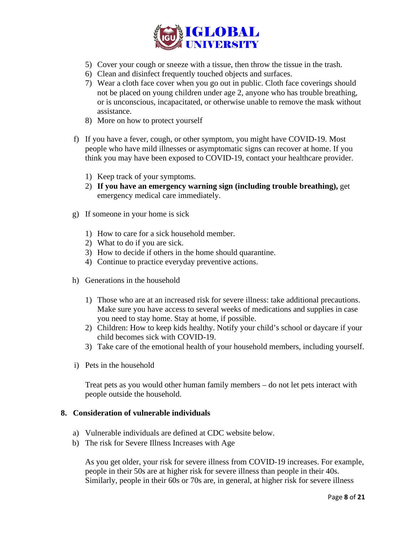

- 5) Cover your cough or sneeze with a tissue, then throw the tissue in the trash.
- 6) [Clean and disinfect](https://www.cdc.gov/coronavirus/2019-ncov/prevent-getting-sick/cleaning-disinfection.html) frequently touched objects and surfaces.
- 7) Wear a cloth face cover when you go out in public. Cloth face coverings should not be placed on young children under age 2, anyone who has trouble breathing, or is unconscious, incapacitated, or otherwise unable to remove the mask without assistance.
- 8) More on [how to protect yourself](https://www.cdc.gov/coronavirus/2019-ncov/prevent-getting-sick/prevention.html)
- f) If you have a fever, cough, or [other symptom,](https://www.cdc.gov/coronavirus/2019-ncov/symptoms-testing/symptoms.html) you might have COVID-19. Most people who have mild illnesses or asymptomatic signs can recover at home. If you think you may have been exposed to COVID-19, contact your healthcare provider.
	- 1) Keep track of your symptoms.
	- 2) **If you have [an emergency warning sign](https://www.cdc.gov/coronavirus/2019-ncov/symptoms-testing/symptoms.html#seek-medical-attention) (including trouble breathing),** get emergency medical care immediately.
- g) If someone in your home is sick
	- 1) How to [care for a sick household member.](https://www.cdc.gov/coronavirus/2019-ncov/if-you-are-sick/care-for-someone.html)
	- 2) [What to do if you are sick.](https://www.cdc.gov/coronavirus/2019-ncov/if-you-are-sick/steps-when-sick.html)
	- 3) How to decide if others in the home should [quarantine.](https://www.cdc.gov/coronavirus/2019-ncov/if-you-are-sick/quarantine-isolation.html)
	- 4) Continue to practice [everyday preventive actions.](https://www.cdc.gov/coronavirus/2019-ncov/prevent-getting-sick/prevention.html)
- h) Generations in the household
	- 1) Those who are at an [increased risk for severe illness:](https://www.cdc.gov/coronavirus/2019-ncov/need-extra-precautions/people-at-higher-risk.html) take additional precautions. Make sure you have access to several weeks of medications and supplies in case you need to stay home. Stay at home, if possible.
	- 2) Children: [How to keep kids healthy.](https://www.cdc.gov/coronavirus/2019-ncov/daily-life-coping/children.html) Notify your child's school or daycare if your child becomes sick with COVID-19.
	- 3) Take care of the [emotional health](https://www.cdc.gov/coronavirus/2019-ncov/daily-life-coping/managing-stress-anxiety.html) of your household members, including yourself.
- i) Pets in the household

Treat [pets](https://www.cdc.gov/coronavirus/2019-ncov/daily-life-coping/pets.html) as you would other human family members – do not let pets interact with people outside the household.

#### **8. Consideration of vulnerable individuals**

- a) Vulnerable individuals are defined at CDC website below.
- b) The risk for Severe Illness Increases with Age

As you get older, your risk for severe illness from COVID-19 increases. For example, people in their 50s are at higher risk for severe illness than people in their 40s. Similarly, people in their 60s or 70s are, in general, at higher risk for severe illness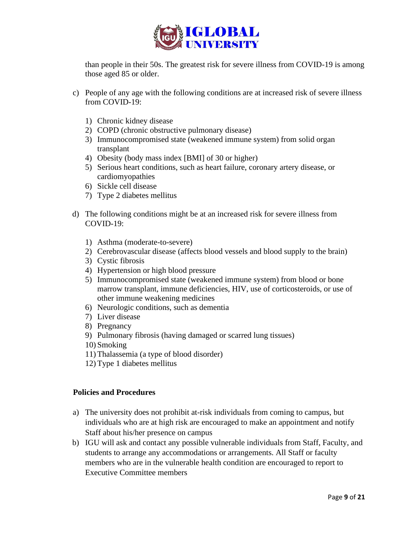

than people in their 50s. The greatest risk for severe illness from COVID-19 is among those aged 85 or older.

- c) People of any age with the following conditions are at increased risk of severe illness from COVID-19:
	- 1) [Chronic kidney disease](https://www.cdc.gov/coronavirus/2019-ncov/need-extra-precautions/people-with-medical-conditions.html?CDC_AA_refVal=https%3A%2F%2Fwww.cdc.gov%2Fcoronavirus%2F2019-ncov%2Fneed-extra-precautions%2Fgroups-at-higher-risk.html#chronic-kidney-disease)
	- 2) [COPD \(chronic obstructive pulmonary disease\)](https://www.cdc.gov/coronavirus/2019-ncov/need-extra-precautions/people-with-medical-conditions.html?CDC_AA_refVal=https%3A%2F%2Fwww.cdc.gov%2Fcoronavirus%2F2019-ncov%2Fneed-extra-precautions%2Fgroups-at-higher-risk.html#copd)
	- 3) [Immunocompromised state \(weakened immune system\) from solid organ](https://www.cdc.gov/coronavirus/2019-ncov/need-extra-precautions/people-with-medical-conditions.html?CDC_AA_refVal=https%3A%2F%2Fwww.cdc.gov%2Fcoronavirus%2F2019-ncov%2Fneed-extra-precautions%2Fgroups-at-higher-risk.html#immunocompromised-state)  [transplant](https://www.cdc.gov/coronavirus/2019-ncov/need-extra-precautions/people-with-medical-conditions.html?CDC_AA_refVal=https%3A%2F%2Fwww.cdc.gov%2Fcoronavirus%2F2019-ncov%2Fneed-extra-precautions%2Fgroups-at-higher-risk.html#immunocompromised-state)
	- 4) [Obesity \(body mass index \[BMI\] of 30 or higher\)](https://www.cdc.gov/coronavirus/2019-ncov/need-extra-precautions/people-with-medical-conditions.html?CDC_AA_refVal=https%3A%2F%2Fwww.cdc.gov%2Fcoronavirus%2F2019-ncov%2Fneed-extra-precautions%2Fgroups-at-higher-risk.html#obesity)
	- 5) [Serious heart conditions, such as heart failure, coronary artery disease, or](https://www.cdc.gov/coronavirus/2019-ncov/need-extra-precautions/people-with-medical-conditions.html?CDC_AA_refVal=https%3A%2F%2Fwww.cdc.gov%2Fcoronavirus%2F2019-ncov%2Fneed-extra-precautions%2Fgroups-at-higher-risk.html#serious-heart-conditions)  [cardiomyopathies](https://www.cdc.gov/coronavirus/2019-ncov/need-extra-precautions/people-with-medical-conditions.html?CDC_AA_refVal=https%3A%2F%2Fwww.cdc.gov%2Fcoronavirus%2F2019-ncov%2Fneed-extra-precautions%2Fgroups-at-higher-risk.html#serious-heart-conditions)
	- 6) [Sickle cell disease](https://www.cdc.gov/coronavirus/2019-ncov/need-extra-precautions/people-with-medical-conditions.html?CDC_AA_refVal=https%3A%2F%2Fwww.cdc.gov%2Fcoronavirus%2F2019-ncov%2Fneed-extra-precautions%2Fgroups-at-higher-risk.html#hemoglobin-disorders)
	- 7) [Type 2 diabetes mellitus](https://www.cdc.gov/coronavirus/2019-ncov/need-extra-precautions/people-with-medical-conditions.html?CDC_AA_refVal=https%3A%2F%2Fwww.cdc.gov%2Fcoronavirus%2F2019-ncov%2Fneed-extra-precautions%2Fgroups-at-higher-risk.html#diabetes)
- d) The following conditions might be at an increased risk for severe illness from COVID-19:
	- 1) [Asthma \(moderate-to-severe\)](https://www.cdc.gov/coronavirus/2019-ncov/need-extra-precautions/people-with-medical-conditions.html?CDC_AA_refVal=https%3A%2F%2Fwww.cdc.gov%2Fcoronavirus%2F2019-ncov%2Fneed-extra-precautions%2Fgroups-at-higher-risk.html#asthma)
	- 2) [Cerebrovascular disease \(affects blood vessels and blood supply to the brain\)](https://www.cdc.gov/coronavirus/2019-ncov/need-extra-precautions/people-with-medical-conditions.html?CDC_AA_refVal=https%3A%2F%2Fwww.cdc.gov%2Fcoronavirus%2F2019-ncov%2Fneed-extra-precautions%2Fgroups-at-higher-risk.html#serious-heart-conditions)
	- 3) [Cystic fibrosis](https://www.cdc.gov/coronavirus/2019-ncov/need-extra-precautions/people-with-medical-conditions.html?CDC_AA_refVal=https%3A%2F%2Fwww.cdc.gov%2Fcoronavirus%2F2019-ncov%2Fneed-extra-precautions%2Fgroups-at-higher-risk.html#copd)
	- 4) [Hypertension or high blood pressure](https://www.cdc.gov/coronavirus/2019-ncov/need-extra-precautions/people-with-medical-conditions.html?CDC_AA_refVal=https%3A%2F%2Fwww.cdc.gov%2Fcoronavirus%2F2019-ncov%2Fneed-extra-precautions%2Fgroups-at-higher-risk.html#serious-heart-conditions)
	- 5) [Immunocompromised state \(weakened immune system\) from blood or bone](https://www.cdc.gov/coronavirus/2019-ncov/need-extra-precautions/people-with-medical-conditions.html?CDC_AA_refVal=https%3A%2F%2Fwww.cdc.gov%2Fcoronavirus%2F2019-ncov%2Fneed-extra-precautions%2Fgroups-at-higher-risk.html#immunocompromised-state)  [marrow transplant, immune deficiencies, HIV, use of corticosteroids, or use of](https://www.cdc.gov/coronavirus/2019-ncov/need-extra-precautions/people-with-medical-conditions.html?CDC_AA_refVal=https%3A%2F%2Fwww.cdc.gov%2Fcoronavirus%2F2019-ncov%2Fneed-extra-precautions%2Fgroups-at-higher-risk.html#immunocompromised-state)  [other immune weakening medicines](https://www.cdc.gov/coronavirus/2019-ncov/need-extra-precautions/people-with-medical-conditions.html?CDC_AA_refVal=https%3A%2F%2Fwww.cdc.gov%2Fcoronavirus%2F2019-ncov%2Fneed-extra-precautions%2Fgroups-at-higher-risk.html#immunocompromised-state)
	- 6) [Neurologic conditions, such as dementia](https://www.cdc.gov/coronavirus/2019-ncov/need-extra-precautions/people-with-medical-conditions.html?CDC_AA_refVal=https%3A%2F%2Fwww.cdc.gov%2Fcoronavirus%2F2019-ncov%2Fneed-extra-precautions%2Fgroups-at-higher-risk.html#neurologic-conditions)
	- 7) [Liver disease](https://www.cdc.gov/coronavirus/2019-ncov/need-extra-precautions/people-with-medical-conditions.html?CDC_AA_refVal=https%3A%2F%2Fwww.cdc.gov%2Fcoronavirus%2F2019-ncov%2Fneed-extra-precautions%2Fgroups-at-higher-risk.html#liver-disease)
	- 8) [Pregnancy](https://www.cdc.gov/coronavirus/2019-ncov/need-extra-precautions/people-with-medical-conditions.html?CDC_AA_refVal=https%3A%2F%2Fwww.cdc.gov%2Fcoronavirus%2F2019-ncov%2Fneed-extra-precautions%2Fgroups-at-higher-risk.html#pregnancy)
	- 9) [Pulmonary fibrosis \(having damaged or scarred lung tissues\)](https://www.cdc.gov/coronavirus/2019-ncov/need-extra-precautions/people-with-medical-conditions.html?CDC_AA_refVal=https%3A%2F%2Fwww.cdc.gov%2Fcoronavirus%2F2019-ncov%2Fneed-extra-precautions%2Fgroups-at-higher-risk.html#copd)
	- 10) [Smoking](https://www.cdc.gov/coronavirus/2019-ncov/need-extra-precautions/people-with-medical-conditions.html?CDC_AA_refVal=https%3A%2F%2Fwww.cdc.gov%2Fcoronavirus%2F2019-ncov%2Fneed-extra-precautions%2Fgroups-at-higher-risk.html#smoking)
	- 11) [Thalassemia \(a type of blood disorder\)](https://www.cdc.gov/coronavirus/2019-ncov/need-extra-precautions/people-with-medical-conditions.html?CDC_AA_refVal=https%3A%2F%2Fwww.cdc.gov%2Fcoronavirus%2F2019-ncov%2Fneed-extra-precautions%2Fgroups-at-higher-risk.html#hemoglobin-disorders)
	- 12) [Type 1 diabetes mellitus](https://www.cdc.gov/coronavirus/2019-ncov/need-extra-precautions/people-with-medical-conditions.html?CDC_AA_refVal=https%3A%2F%2Fwww.cdc.gov%2Fcoronavirus%2F2019-ncov%2Fneed-extra-precautions%2Fgroups-at-higher-risk.html#diabetes)

### **Policies and Procedures**

- a) The university does not prohibit at-risk individuals from coming to campus, but individuals who are at high risk are encouraged to make an appointment and notify Staff about his/her presence on campus
- b) IGU will ask and contact any possible vulnerable individuals from Staff, Faculty, and students to arrange any accommodations or arrangements. All Staff or faculty members who are in the vulnerable health condition are encouraged to report to Executive Committee members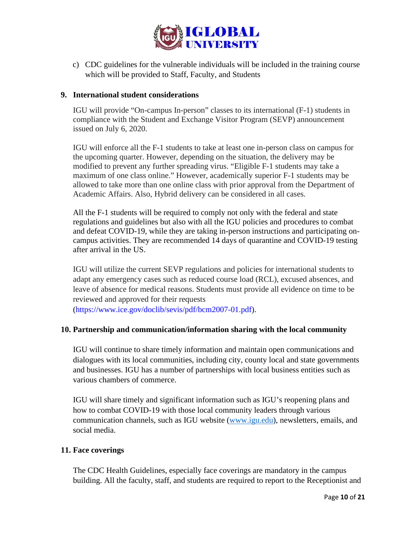

c) CDC guidelines for the vulnerable individuals will be included in the training course which will be provided to Staff, Faculty, and Students

## **9. International student considerations**

IGU will provide "On-campus In-person" classes to its international (F-1) students in compliance with the Student and Exchange Visitor Program (SEVP) announcement issued on July 6, 2020.

IGU will enforce all the F-1 students to take at least one in-person class on campus for the upcoming quarter. However, depending on the situation, the delivery may be modified to prevent any further spreading virus. "Eligible F-1 students may take a maximum of one class online." However, academically superior F-1 students may be allowed to take more than one online class with prior approval from the Department of Academic Affairs. Also, Hybrid delivery can be considered in all cases.

All the F-1 students will be required to comply not only with the federal and state regulations and guidelines but also with all the IGU policies and procedures to combat and defeat COVID-19, while they are taking in-person instructions and participating oncampus activities. They are recommended 14 days of quarantine and COVID-19 testing after arrival in the US.

IGU will utilize the current SEVP regulations and policies for international students to adapt any emergency cases such as reduced course load (RCL), excused absences, and leave of absence for medical reasons. Students must provide all evidence on time to be reviewed and approved for their requests

[\(https://www.ice.gov/doclib/sevis/pdf/bcm2007-01.pdf\)](https://www.ice.gov/doclib/sevis/pdf/bcm2007-01.pdf).

### **10. Partnership and communication/information sharing with the local community**

IGU will continue to share timely information and maintain open communications and dialogues with its local communities, including city, county local and state governments and businesses. IGU has a number of partnerships with local business entities such as various chambers of commerce.

IGU will share timely and significant information such as IGU's reopening plans and how to combat COVID-19 with those local community leaders through various communication channels, such as IGU website [\(www.igu.edu\)](http://www.igu.edu/), newsletters, emails, and social media.

### **11. Face coverings**

The CDC Health Guidelines, especially face coverings are mandatory in the campus building. All the faculty, staff, and students are required to report to the Receptionist and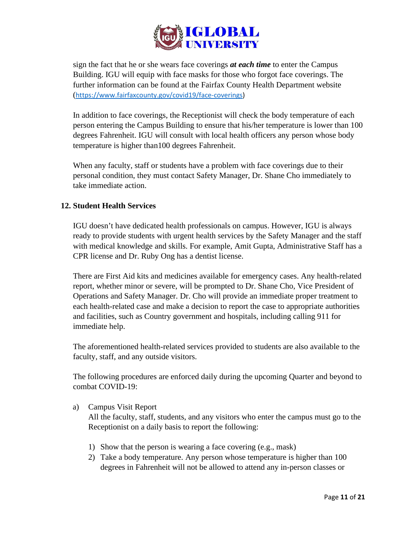

sign the fact that he or she wears face coverings *at each time* to enter the Campus Building. IGU will equip with face masks for those who forgot face coverings. The further information can be found at the Fairfax County Health Department website ([https://www.fairfaxcounty.gov/covid19/face-coverings\)](https://www.fairfaxcounty.gov/covid19/face-coverings)

In addition to face coverings, the Receptionist will check the body temperature of each person entering the Campus Building to ensure that his/her temperature is lower than 100 degrees Fahrenheit. IGU will consult with local health officers any person whose body temperature is higher than100 degrees Fahrenheit.

When any faculty, staff or students have a problem with face coverings due to their personal condition, they must contact Safety Manager, Dr. Shane Cho immediately to take immediate action.

## **12. Student Health Services**

IGU doesn't have dedicated health professionals on campus. However, IGU is always ready to provide students with urgent health services by the Safety Manager and the staff with medical knowledge and skills. For example, Amit Gupta, Administrative Staff has a CPR license and Dr. Ruby Ong has a dentist license.

There are First Aid kits and medicines available for emergency cases. Any health-related report, whether minor or severe, will be prompted to Dr. Shane Cho, Vice President of Operations and Safety Manager. Dr. Cho will provide an immediate proper treatment to each health-related case and make a decision to report the case to appropriate authorities and facilities, such as Country government and hospitals, including calling 911 for immediate help.

The aforementioned health-related services provided to students are also available to the faculty, staff, and any outside visitors.

The following procedures are enforced daily during the upcoming Quarter and beyond to combat COVID-19:

a) Campus Visit Report

All the faculty, staff, students, and any visitors who enter the campus must go to the Receptionist on a daily basis to report the following:

- 1) Show that the person is wearing a face covering (e.g., mask)
- 2) Take a body temperature. Any person whose temperature is higher than 100 degrees in Fahrenheit will not be allowed to attend any in-person classes or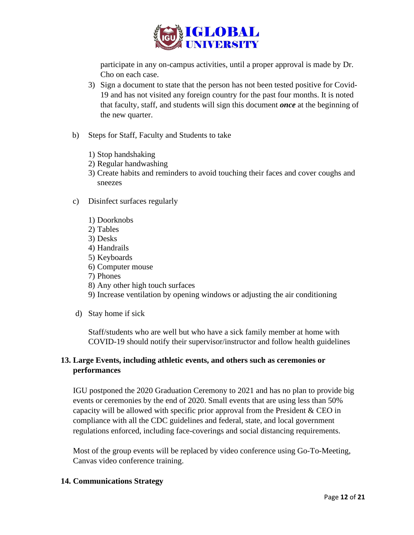

participate in any on-campus activities, until a proper approval is made by Dr. Cho on each case.

- 3) Sign a document to state that the person has not been tested positive for Covid-19 and has not visited any foreign country for the past four months. It is noted that faculty, staff, and students will sign this document *once* at the beginning of the new quarter.
- b) Steps for Staff, Faculty and Students to take
	- 1) Stop handshaking
	- 2) Regular handwashing
	- 3) Create habits and reminders to avoid touching their faces and cover coughs and sneezes
- c) Disinfect surfaces regularly
	- 1) Doorknobs
	- 2) Tables
	- 3) Desks
	- 4) Handrails
	- 5) Keyboards
	- 6) Computer mouse
	- 7) Phones
	- 8) Any other high touch surfaces
	- 9) Increase ventilation by opening windows or adjusting the air conditioning
- d) Stay home if sick

Staff/students who are well but who have a sick family member at home with COVID-19 should notify their supervisor/instructor and follow health guidelines

## **13. Large Events, including athletic events, and others such as ceremonies or performances**

IGU postponed the 2020 Graduation Ceremony to 2021 and has no plan to provide big events or ceremonies by the end of 2020. Small events that are using less than 50% capacity will be allowed with specific prior approval from the President & CEO in compliance with all the CDC guidelines and federal, state, and local government regulations enforced, including face-coverings and social distancing requirements.

Most of the group events will be replaced by video conference using Go-To-Meeting, Canvas video conference training.

### **14. Communications Strategy**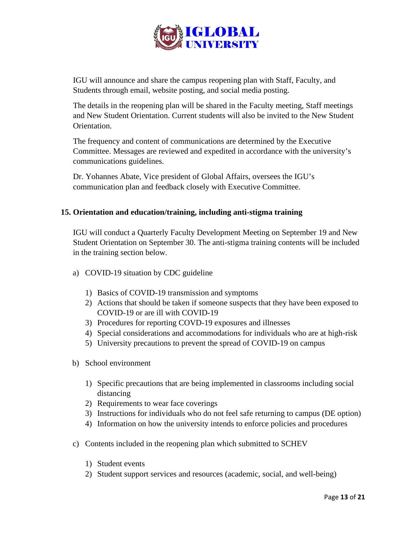

IGU will announce and share the campus reopening plan with Staff, Faculty, and Students through email, website posting, and social media posting.

The details in the reopening plan will be shared in the Faculty meeting, Staff meetings and New Student Orientation. Current students will also be invited to the New Student Orientation.

The frequency and content of communications are determined by the Executive Committee. Messages are reviewed and expedited in accordance with the university's communications guidelines.

Dr. Yohannes Abate, Vice president of Global Affairs, oversees the IGU's communication plan and feedback closely with Executive Committee.

## **15. Orientation and education/training, including anti-stigma training**

IGU will conduct a Quarterly Faculty Development Meeting on September 19 and New Student Orientation on September 30. The anti-stigma training contents will be included in the training section below.

- a) COVID-19 situation by CDC guideline
	- 1) Basics of COVID-19 transmission and symptoms
	- 2) Actions that should be taken if someone suspects that they have been exposed to COVID-19 or are ill with COVID-19
	- 3) Procedures for reporting COVD-19 exposures and illnesses
	- 4) Special considerations and accommodations for individuals who are at high-risk
	- 5) University precautions to prevent the spread of COVID-19 on campus
- b) School environment
	- 1) Specific precautions that are being implemented in classrooms including social distancing
	- 2) Requirements to wear face coverings
	- 3) Instructions for individuals who do not feel safe returning to campus (DE option)
	- 4) Information on how the university intends to enforce policies and procedures
- c) Contents included in the reopening plan which submitted to SCHEV
	- 1) Student events
	- 2) Student support services and resources (academic, social, and well-being)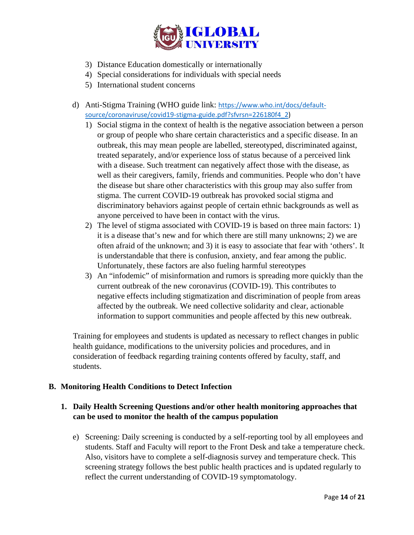

- 3) Distance Education domestically or internationally
- 4) Special considerations for individuals with special needs
- 5) International student concerns
- d) Anti-Stigma Training (WHO guide link: [https://www.who.int/docs/default](https://www.who.int/docs/default-source/coronaviruse/covid19-stigma-guide.pdf?sfvrsn=226180f4_2)[source/coronaviruse/covid19-stigma-guide.pdf?sfvrsn=226180f4\\_2\)](https://www.who.int/docs/default-source/coronaviruse/covid19-stigma-guide.pdf?sfvrsn=226180f4_2)
	- 1) Social stigma in the context of health is the negative association between a person or group of people who share certain characteristics and a specific disease. In an outbreak, this may mean people are labelled, stereotyped, discriminated against, treated separately, and/or experience loss of status because of a perceived link with a disease. Such treatment can negatively affect those with the disease, as well as their caregivers, family, friends and communities. People who don't have the disease but share other characteristics with this group may also suffer from stigma. The current COVID-19 outbreak has provoked social stigma and discriminatory behaviors against people of certain ethnic backgrounds as well as anyone perceived to have been in contact with the virus.
	- 2) The level of stigma associated with COVID-19 is based on three main factors: 1) it is a disease that's new and for which there are still many unknowns; 2) we are often afraid of the unknown; and 3) it is easy to associate that fear with 'others'. It is understandable that there is confusion, anxiety, and fear among the public. Unfortunately, these factors are also fueling harmful stereotypes
	- 3) An "infodemic" of misinformation and rumors is spreading more quickly than the current outbreak of the new coronavirus (COVID-19). This contributes to negative effects including stigmatization and discrimination of people from areas affected by the outbreak. We need collective solidarity and clear, actionable information to support communities and people affected by this new outbreak.

Training for employees and students is updated as necessary to reflect changes in public health guidance, modifications to the university policies and procedures, and in consideration of feedback regarding training contents offered by faculty, staff, and students.

## **B. Monitoring Health Conditions to Detect Infection**

# **1. Daily Health Screening Questions and/or other health monitoring approaches that can be used to monitor the health of the campus population**

e) Screening: Daily screening is conducted by a self-reporting tool by all employees and students. Staff and Faculty will report to the Front Desk and take a temperature check. Also, visitors have to complete a self-diagnosis survey and temperature check. This screening strategy follows the best public health practices and is updated regularly to reflect the current understanding of COVID-19 symptomatology.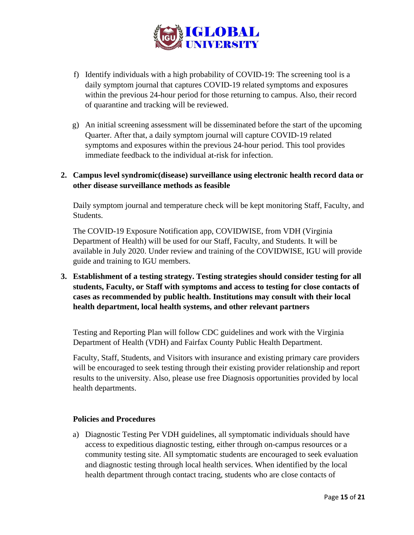

- f) Identify individuals with a high probability of COVID-19: The screening tool is a daily symptom journal that captures COVID-19 related symptoms and exposures within the previous 24-hour period for those returning to campus. Also, their record of quarantine and tracking will be reviewed.
- g) An initial screening assessment will be disseminated before the start of the upcoming Quarter. After that, a daily symptom journal will capture COVID-19 related symptoms and exposures within the previous 24-hour period. This tool provides immediate feedback to the individual at-risk for infection.

## **2. Campus level syndromic(disease) surveillance using electronic health record data or other disease surveillance methods as feasible**

Daily symptom journal and temperature check will be kept monitoring Staff, Faculty, and Students.

The COVID-19 Exposure Notification app, COVIDWISE, from VDH (Virginia Department of Health) will be used for our Staff, Faculty, and Students. It will be available in July 2020. Under review and training of the COVIDWISE, IGU will provide guide and training to IGU members.

**3. Establishment of a testing strategy. Testing strategies should consider testing for all students, Faculty, or Staff with symptoms and access to testing for close contacts of cases as recommended by public health. Institutions may consult with their local health department, local health systems, and other relevant partners**

Testing and Reporting Plan will follow CDC guidelines and work with the Virginia Department of Health (VDH) and Fairfax County Public Health Department.

Faculty, Staff, Students, and Visitors with insurance and existing primary care providers will be encouraged to seek testing through their existing provider relationship and report results to the university. Also, please use free Diagnosis opportunities provided by local health departments.

### **Policies and Procedures**

a) Diagnostic Testing Per VDH guidelines, all symptomatic individuals should have access to expeditious diagnostic testing, either through on-campus resources or a community testing site. All symptomatic students are encouraged to seek evaluation and diagnostic testing through local health services. When identified by the local health department through contact tracing, students who are close contacts of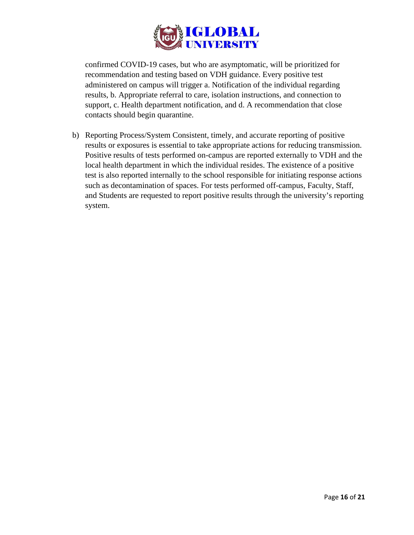

confirmed COVID-19 cases, but who are asymptomatic, will be prioritized for recommendation and testing based on VDH guidance. Every positive test administered on campus will trigger a. Notification of the individual regarding results, b. Appropriate referral to care, isolation instructions, and connection to support, c. Health department notification, and d. A recommendation that close contacts should begin quarantine.

b) Reporting Process/System Consistent, timely, and accurate reporting of positive results or exposures is essential to take appropriate actions for reducing transmission. Positive results of tests performed on-campus are reported externally to VDH and the local health department in which the individual resides. The existence of a positive test is also reported internally to the school responsible for initiating response actions such as decontamination of spaces. For tests performed off-campus, Faculty, Staff, and Students are requested to report positive results through the university's reporting system.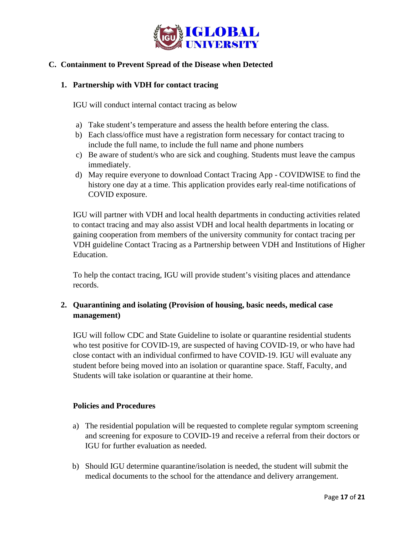

## **C. Containment to Prevent Spread of the Disease when Detected**

## **1. Partnership with VDH for contact tracing**

IGU will conduct internal contact tracing as below

- a) Take student's temperature and assess the health before entering the class.
- b) Each class/office must have a registration form necessary for contact tracing to include the full name, to include the full name and phone numbers
- c) Be aware of student/s who are sick and coughing. Students must leave the campus immediately.
- d) May require everyone to download Contact Tracing App COVIDWISE to find the history one day at a time. This application provides early real-time notifications of COVID exposure.

IGU will partner with VDH and local health departments in conducting activities related to contact tracing and may also assist VDH and local health departments in locating or gaining cooperation from members of the university community for contact tracing per VDH guideline Contact Tracing as a Partnership between VDH and Institutions of Higher Education.

To help the contact tracing, IGU will provide student's visiting places and attendance records.

## **2. Quarantining and isolating (Provision of housing, basic needs, medical case management)**

IGU will follow CDC and State Guideline to isolate or quarantine residential students who test positive for COVID-19, are suspected of having COVID-19, or who have had close contact with an individual confirmed to have COVID-19. IGU will evaluate any student before being moved into an isolation or quarantine space. Staff, Faculty, and Students will take isolation or quarantine at their home.

### **Policies and Procedures**

- a) The residential population will be requested to complete regular symptom screening and screening for exposure to COVID-19 and receive a referral from their doctors or IGU for further evaluation as needed.
- b) Should IGU determine quarantine/isolation is needed, the student will submit the medical documents to the school for the attendance and delivery arrangement.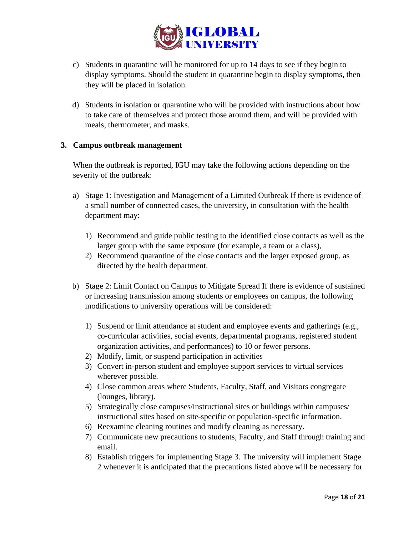

- c) Students in quarantine will be monitored for up to 14 days to see if they begin to display symptoms. Should the student in quarantine begin to display symptoms, then they will be placed in isolation.
- d) Students in isolation or quarantine who will be provided with instructions about how to take care of themselves and protect those around them, and will be provided with meals, thermometer, and masks.

### **3. Campus outbreak management**

When the outbreak is reported, IGU may take the following actions depending on the severity of the outbreak:

- a) Stage 1: Investigation and Management of a Limited Outbreak If there is evidence of a small number of connected cases, the university, in consultation with the health department may:
	- 1) Recommend and guide public testing to the identified close contacts as well as the larger group with the same exposure (for example, a team or a class),
	- 2) Recommend quarantine of the close contacts and the larger exposed group, as directed by the health department.
- b) Stage 2: Limit Contact on Campus to Mitigate Spread If there is evidence of sustained or increasing transmission among students or employees on campus, the following modifications to university operations will be considered:
	- 1) Suspend or limit attendance at student and employee events and gatherings (e.g., co-curricular activities, social events, departmental programs, registered student organization activities, and performances) to 10 or fewer persons.
	- 2) Modify, limit, or suspend participation in activities
	- 3) Convert in-person student and employee support services to virtual services wherever possible.
	- 4) Close common areas where Students, Faculty, Staff, and Visitors congregate (lounges, library).
	- 5) Strategically close campuses/instructional sites or buildings within campuses/ instructional sites based on site-specific or population-specific information.
	- 6) Reexamine cleaning routines and modify cleaning as necessary.
	- 7) Communicate new precautions to students, Faculty, and Staff through training and email.
	- 8) Establish triggers for implementing Stage 3. The university will implement Stage 2 whenever it is anticipated that the precautions listed above will be necessary for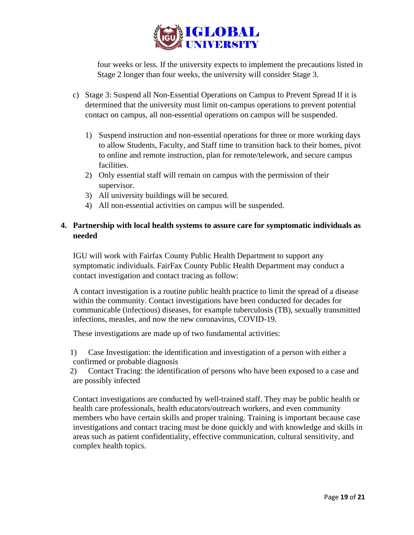

four weeks or less. If the university expects to implement the precautions listed in Stage 2 longer than four weeks, the university will consider Stage 3.

- c) Stage 3: Suspend all Non-Essential Operations on Campus to Prevent Spread If it is determined that the university must limit on-campus operations to prevent potential contact on campus, all non-essential operations on campus will be suspended.
	- 1) Suspend instruction and non-essential operations for three or more working days to allow Students, Faculty, and Staff time to transition back to their homes, pivot to online and remote instruction, plan for remote/telework, and secure campus facilities.
	- 2) Only essential staff will remain on campus with the permission of their supervisor.
	- 3) All university buildings will be secured.
	- 4) All non-essential activities on campus will be suspended.

# **4. Partnership with local health systems to assure care for symptomatic individuals as needed**

IGU will work with Fairfax County Public Health Department to support any symptomatic individuals. FairFax County Public Health Department may conduct a contact investigation and contact tracing as follow:

A contact investigation is a routine public health practice to limit the spread of a disease within the community. Contact investigations have been conducted for decades for communicable (infectious) diseases, for example tuberculosis (TB), sexually transmitted infections, measles, and now the new coronavirus, COVID-19.

These investigations are made up of two fundamental activities:

1) Case Investigation: the identification and investigation of a person with either a confirmed or probable diagnosis

2) Contact Tracing: the identification of persons who have been exposed to a case and are possibly infected

Contact investigations are conducted by well-trained staff. They may be public health or health care professionals, health educators/outreach workers, and even community members who have certain skills and proper training. Training is important because case investigations and contact tracing must be done quickly and with knowledge and skills in areas such as patient confidentiality, effective communication, cultural sensitivity, and complex health topics.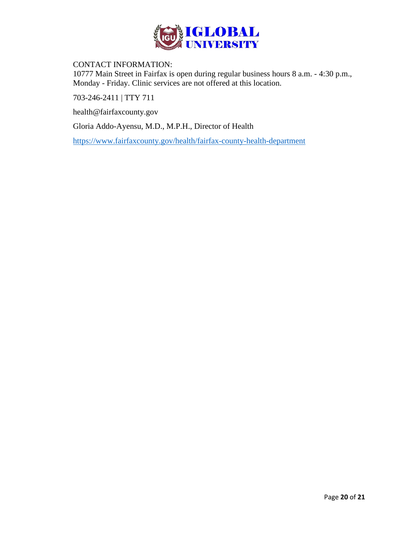

## CONTACT INFORMATION:

10777 Main Street in Fairfax is open during regular business hours 8 a.m. - 4:30 p.m., Monday - Friday. Clinic services are not offered at this location.

[703-246-2411](tel:703-246-2411) | TTY 711

[health@fairfaxcounty.gov](mailto:health@fairfaxcounty.gov)

Gloria Addo-Ayensu, M.D., M.P.H., Director of Health

<https://www.fairfaxcounty.gov/health/fairfax-county-health-department>